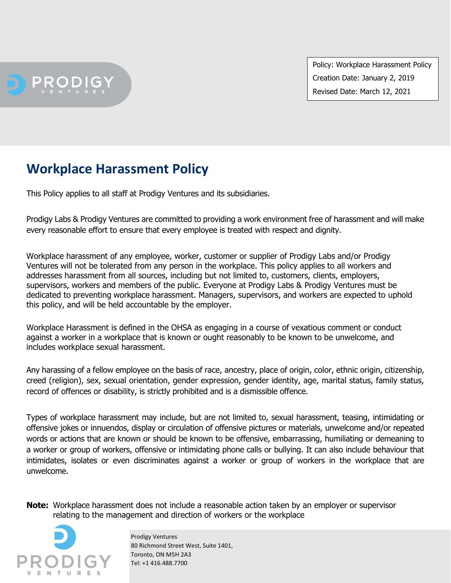**PRODIG** 

Policy: Workplace Harassment Policy Creation Date: January 2, 2019 Revised Date: March 12, 2021

## **Workplace Harassment Policy**

This Policy applies to all staff at Prodigy Ventures and its subsidiaries.

Prodigy Labs & Prodigy Ventures are committed to providing a work environment free of harassment and will make every reasonable effort to ensure that every employee is treated with respect and dignity.

Workplace harassment of any employee, worker, customer or supplier of Prodigy Labs and/or Prodigy Ventures will not be tolerated from any person in the workplace. This policy applies to all workers and addresses harassment from all sources, including but not limited to, customers, clients, employers, supervisors, workers and members of the public. Everyone at Prodigy Labs & Prodigy Ventures must be dedicated to preventing workplace harassment. Managers, supervisors, and workers are expected to uphold this policy, and will be held accountable by the employer.

Workplace Harassment is defined in the OHSA as engaging in a course of vexatious comment or conduct against a worker in a workplace that is known or ought reasonably to be known to be unwelcome, and includes workplace sexual harassment.

Any harassing of a fellow employee on the basis of race, ancestry, place of origin, color, ethnic origin, citizenship, creed (religion), sex, sexual orientation, gender expression, gender identity, age, marital status, family status, record of offences or disability, is strictly prohibited and is a dismissible offence.

Types of workplace harassment may include, but are not limited to, sexual harassment, teasing, intimidating or offensive jokes or innuendos, display or circulation of offensive pictures or materials, unwelcome and/or repeated words or actions that are known or should be known to be offensive, embarrassing, humiliating or demeaning to a worker or group of workers, offensive or intimidating phone calls or bullying. It can also include behaviour that intimidates, isolates or even discriminates against a worker or group of workers in the workplace that are unwelcome.

**Note:** Workplace harassment does not include a reasonable action taken by an employer or supervisor relating to the management and direction of workers or the workplace



 Prodigy Ventures 80 Richmond Street West, Suite 1401, Toronto, ON M5H 2A3 Tel: +1 416.488.7700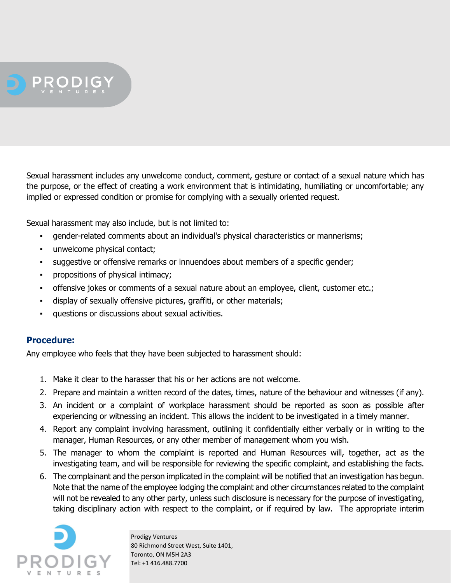

Sexual harassment includes any unwelcome conduct, comment, gesture or contact of a sexual nature which has the purpose, or the effect of creating a work environment that is intimidating, humiliating or uncomfortable; any implied or expressed condition or promise for complying with a sexually oriented request.

Sexual harassment may also include, but is not limited to:

- gender-related comments about an individual's physical characteristics or mannerisms;
- unwelcome physical contact;
- suggestive or offensive remarks or innuendoes about members of a specific gender;
- propositions of physical intimacy;
- offensive jokes or comments of a sexual nature about an employee, client, customer etc.;
- display of sexually offensive pictures, graffiti, or other materials;
- questions or discussions about sexual activities.

## **Procedure:**

Any employee who feels that they have been subjected to harassment should:

- 1. Make it clear to the harasser that his or her actions are not welcome.
- 2. Prepare and maintain a written record of the dates, times, nature of the behaviour and witnesses (if any).
- 3. An incident or a complaint of workplace harassment should be reported as soon as possible after experiencing or witnessing an incident. This allows the incident to be investigated in a timely manner.
- 4. Report any complaint involving harassment, outlining it confidentially either verbally or in writing to the manager, Human Resources, or any other member of management whom you wish.
- 5. The manager to whom the complaint is reported and Human Resources will, together, act as the investigating team, and will be responsible for reviewing the specific complaint, and establishing the facts.
- 6. The complainant and the person implicated in the complaint will be notified that an investigation has begun. Note that the name of the employee lodging the complaint and other circumstances related to the complaint will not be revealed to any other party, unless such disclosure is necessary for the purpose of investigating, taking disciplinary action with respect to the complaint, or if required by law. The appropriate interim



 Prodigy Ventures 80 Richmond Street West, Suite 1401, Toronto, ON M5H 2A3 Tel: +1 416.488.7700